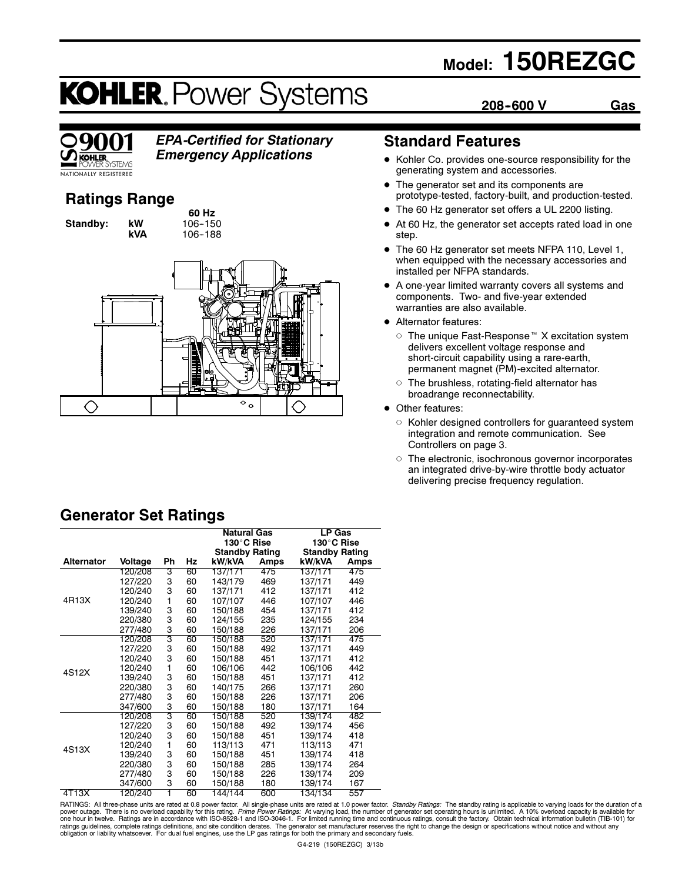# Model: 150REZGC

208-600 V Gas

# **KOHLER. Power Systems**



# EPA-Certified for Stationary

Emergency Applications

### Ratings Range

60 Hz **Standby: kW 106-150**<br>**kVA 106-188** 106-188



## Standard Features

- Kohler Co. provides one-source responsibility for the generating system and accessories.
- The generator set and its components are prototype-tested, factory-built, and production-tested.
- The 60 Hz generator set offers a UL 2200 listing.
- $\bullet$  At 60 Hz, the generator set accepts rated load in one step.
- $\bullet$  The 60 Hz generator set meets NFPA 110, Level 1, when equipped with the necessary accessories and installed per NFPA standards.
- A one-year limited warranty covers all systems and components. Two- and five-year extended warranties are also available.
- Alternator features:
	- The unique Fast-Response  $M$  X excitation system delivers excellent voltage response and short-circuit capability using a rare-earth, permanent magnet (PM)-excited alternator.
	- $\circ$  The brushless, rotating-field alternator has broadrange reconnectability.
- Other features:
	- $\circ$  Kohler designed controllers for guaranteed system integration and remote communication. See Controllers on page 3.
	- $\circ$  The electronic, isochronous governor incorporates an integrated drive-by-wire throttle body actuator delivering precise frequency regulation.

|                   |         |    |    | Natural Gas           |      | LP Gas                |      |
|-------------------|---------|----|----|-----------------------|------|-----------------------|------|
|                   |         |    |    | 130°C Rise            |      | 130°C Rise            |      |
|                   |         |    |    | <b>Standby Rating</b> |      | <b>Standby Rating</b> |      |
| <b>Alternator</b> | Voltage | Ph | Hz | kW/kVA                | Amps | kW/kVA                | Amps |
|                   | 120/208 | 3  | 60 | 137/171               | 475  | 137/171               | 475  |
|                   | 127/220 | З  | 60 | 143/179               | 469  | 137/171               | 449  |
|                   | 120/240 | 3  | 60 | 137/171               | 412  | 137/171               | 412  |
| 4R13X             | 120/240 | 1  | 60 | 107/107               | 446  | 107/107               | 446  |
|                   | 139/240 | 3  | 60 | 150/188               | 454  | 137/171               | 412  |
|                   | 220/380 | 3  | 60 | 124/155               | 235  | 124/155               | 234  |
|                   | 277/480 | 3  | 60 | 150/188               | 226  | 137/171               | 206  |
|                   | 120/208 | 3  | 60 | 150/188               | 520  | 137/171               | 475  |
|                   | 127/220 | 3  | 60 | 150/188               | 492  | 137/171               | 449  |
|                   | 120/240 | 3  | 60 | 150/188               | 451  | 137/171               | 412  |
| 4S12X             | 120/240 | 1  | 60 | 106/106               | 442  | 106/106               | 442  |
|                   | 139/240 | З  | 60 | 150/188               | 451  | 137/171               | 412  |
|                   | 220/380 | 3  | 60 | 140/175               | 266  | 137/171               | 260  |
|                   | 277/480 | 3  | 60 | 150/188               | 226  | 137/171               | 206  |
|                   | 347/600 | 3  | 60 | 150/188               | 180  | 137/171               | 164  |
|                   | 120/208 | 3  | 60 | 150/188               | 520  | 139/174               | 482  |
|                   | 127/220 | З  | 60 | 150/188               | 492  | 139/174               | 456  |
|                   | 120/240 | 3  | 60 | 150/188               | 451  | 139/174               | 418  |
| 4S13X             | 120/240 | 1  | 60 | 113/113               | 471  | 113/113               | 471  |
|                   | 139/240 | 3  | 60 | 150/188               | 451  | 139/174               | 418  |
|                   | 220/380 | 3  | 60 | 150/188               | 285  | 139/174               | 264  |
|                   | 277/480 | 3  | 60 | 150/188               | 226  | 139/174               | 209  |
|                   | 347/600 | 3  | 60 | 150/188               | 180  | 139/174               | 167  |
| 4T13X             | 120/240 | 1  | 60 | 144/144               | 600  | 134/134               | 557  |

Generator Set Ratings

RATINGS: All three-phase units are rated at 0.8 power factor. All single-phase units are rated at 1.0 power factor. *Standby Ratings*: The standby rating is applicable to varying loads for the duration of a<br>power outage. T obligation or liability whatsoever. For dual fuel engines, use the LP gas ratings for both the primary and secondary fuels.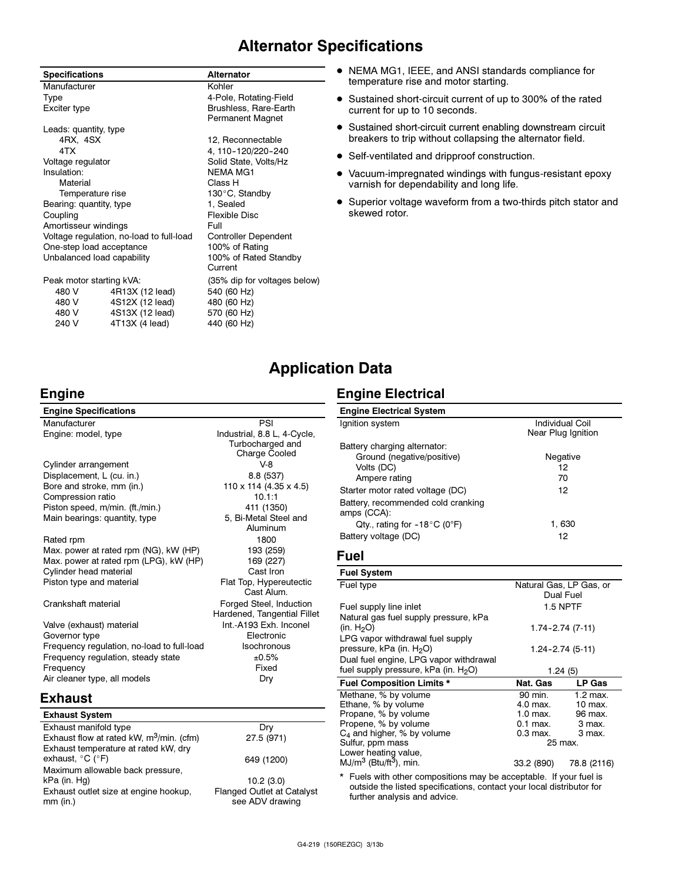### Alternator Specifications

| <b>Specifications</b>    |                                          | <b>Alternator</b>                                |
|--------------------------|------------------------------------------|--------------------------------------------------|
| Manufacturer             |                                          | Kohler                                           |
| Type                     |                                          | 4-Pole, Rotating-Field                           |
| Exciter type             |                                          | Brushless, Rare-Earth<br><b>Permanent Magnet</b> |
| Leads: quantity, type    |                                          |                                                  |
| 4RX, 4SX                 |                                          | 12, Reconnectable                                |
| 4TX                      |                                          | 4, 110-120/220-240                               |
| Voltage regulator        |                                          | Solid State, Volts/Hz                            |
| Insulation:              |                                          | <b>NEMA MG1</b>                                  |
| Material                 |                                          | Class H                                          |
| Temperature rise         |                                          | 130°C, Standby                                   |
| Bearing: quantity, type  |                                          | 1, Sealed                                        |
| Coupling                 |                                          | Flexible Disc                                    |
| Amortisseur windings     |                                          | Full                                             |
|                          | Voltage regulation, no-load to full-load | <b>Controller Dependent</b>                      |
| One-step load acceptance |                                          | 100% of Rating                                   |
|                          | Unbalanced load capability               | 100% of Rated Standby<br>Current                 |
| Peak motor starting kVA: |                                          | (35% dip for voltages below)                     |
| 480 V                    | 4R13X (12 lead)                          | 540 (60 Hz)                                      |
| 480 V                    | 4S12X (12 lead)                          | 480 (60 Hz)                                      |
| 4S13X (12 lead)<br>480 V |                                          | 570 (60 Hz)                                      |
| 240 V                    | 4T13X (4 lead)                           | 440 (60 Hz)                                      |

- NEMA MG1, IEEE, and ANSI standards compliance for temperature rise and motor starting.
- Sustained short-circuit current of up to 300% of the rated current for up to 10 seconds.
- $\bullet$  Sustained short-circuit current enabling downstream circuit breakers to trip without collapsing the alternator field.
- Self-ventilated and dripproof construction.
- $\bullet$  Vacuum-impregnated windings with fungus-resistant epoxy varnish for dependability and long life.
- Superior voltage waveform from a two-thirds pitch stator and skewed rotor.

### Application Data

### Engine

| <b>Engine Specifications</b>               |                             |
|--------------------------------------------|-----------------------------|
| Manufacturer                               | PSI                         |
| Engine: model, type                        | Industrial, 8.8 L, 4-Cycle, |
|                                            | Turbocharged and            |
|                                            | <b>Charge Cooled</b>        |
| Cylinder arrangement                       | $V-8$                       |
| Displacement, L (cu. in.)                  | 8.8 (537)                   |
| Bore and stroke, mm (in.)                  | 110 x 114 (4.35 x 4.5)      |
| Compression ratio                          | 10.1:1                      |
| Piston speed, m/min. (ft./min.)            | 411 (1350)                  |
| Main bearings: quantity, type              | 5, Bi-Metal Steel and       |
|                                            | Aluminum                    |
| Rated rpm                                  | 1800                        |
| Max. power at rated rpm (NG), kW (HP)      | 193 (259)                   |
| Max. power at rated rpm (LPG), kW (HP)     | 169 (227)                   |
| Cylinder head material                     | Cast Iron                   |
| Piston type and material                   | Flat Top, Hypereutectic     |
|                                            | Cast Alum                   |
| Crankshaft material                        | Forged Steel, Induction     |
|                                            | Hardened, Tangential Fillet |
| Valve (exhaust) material                   | Int.-A193 Exh. Inconel      |
| Governor type                              | Electronic                  |
| Frequency regulation, no-load to full-load | Isochronous                 |
| Frequency regulation, steady state         | ±0.5%                       |
| Frequency                                  | Fixed                       |
| Air cleaner type, all models               | Dry                         |

### Engine Electrical

| <b>Engine Electrical System</b>                   |                         |
|---------------------------------------------------|-------------------------|
| Ignition system                                   | Individual Coil         |
|                                                   | Near Plug Ignition      |
| Battery charging alternator:                      |                         |
| Ground (negative/positive)                        | Negative                |
| Volts (DC)                                        | 12                      |
| Ampere rating                                     | 70                      |
| Starter motor rated voltage (DC)                  | 12                      |
| Battery, recommended cold cranking<br>amps (CCA): |                         |
| Qty., rating for $-18^{\circ}$ C (0°F)            | 1,630                   |
| Battery voltage (DC)                              | 12                      |
| Fuel                                              |                         |
| <b>Fuel System</b>                                |                         |
| Fuel type                                         | Natural Gas, LP Gas, or |
|                                                   | Dual Fuel               |
| Fuel supply line inlet                            | 1.5 NPTF                |
| Natural gas fuel supply pressure, kPa             |                         |

| (in. H <sub>2</sub> O)                           | $1.74 - 2.74$ (7-11) |             |
|--------------------------------------------------|----------------------|-------------|
| LPG vapor withdrawal fuel supply                 |                      |             |
| pressure, kPa (in. H <sub>2</sub> O)             | $1.24 - 2.74(5-11)$  |             |
| Dual fuel engine, LPG vapor withdrawal           |                      |             |
| fuel supply pressure, kPa (in. H <sub>2</sub> O) | 1.24(5)              |             |
| <b>Fuel Composition Limits *</b>                 | Nat. Gas             | LP Gas      |
| Methane, % by volume                             | 90 min.              | $1.2$ max.  |
| Ethane, % by volume                              | 4.0 max.             | 10 max.     |
| Propane, % by volume                             | $1.0$ max.           | 96 max.     |
| Propene, % by volume                             | $0.1$ max.           | 3 max.      |
| $C_4$ and higher, % by volume                    | $0.3$ max.           | 3 max.      |
| Sulfur, ppm mass                                 | 25 max.              |             |
| Lower heating value,                             |                      |             |
| $MJ/m3$ (Btu/ft <sup>3</sup> ), min.             | 33.2 (890)           | 78.8 (2116) |

\* Fuels with other compositions may be acceptable. If your fuel is outside the listed specifications, contact your local distributor for further analysis and advice.

### Exhaust

| <b>Exhaust System</b>                                                         |                                                      |
|-------------------------------------------------------------------------------|------------------------------------------------------|
| Exhaust manifold type                                                         | Drv                                                  |
| Exhaust flow at rated kW, m <sup>3</sup> /min. (cfm)                          | 27.5 (971)                                           |
| Exhaust temperature at rated kW, dry<br>exhaust, $^{\circ}$ C ( $^{\circ}$ F) | 649 (1200)                                           |
| Maximum allowable back pressure,                                              |                                                      |
| kPa (in. Hg)                                                                  | 10.2(3.0)                                            |
| Exhaust outlet size at engine hookup,<br>$mm$ (in.)                           | <b>Flanged Outlet at Catalyst</b><br>see ADV drawing |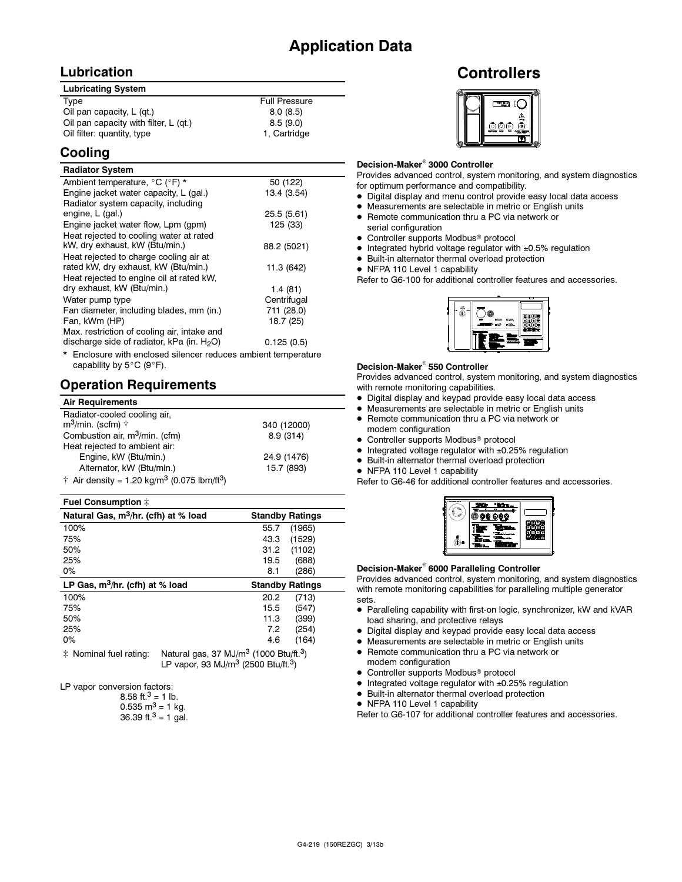### Lubrication

| <b>Lubricating System</b>               |                      |
|-----------------------------------------|----------------------|
| Type                                    | <b>Full Pressure</b> |
| Oil pan capacity, $L$ (qt.)             | 8.0(8.5)             |
| Oil pan capacity with filter, $L$ (qt.) | 8.5(9.0)             |
| Oil filter: quantity, type              | 1. Cartridge         |

### Cooling

#### Radiator System

| יייטעיט שעטויי                                                 |             |
|----------------------------------------------------------------|-------------|
| Ambient temperature, °C (°F) *                                 | 50 (122)    |
| Engine jacket water capacity, L (gal.)                         | 13.4 (3.54) |
| Radiator system capacity, including                            |             |
| engine, L (gal.)                                               | 25.5 (5.61) |
| Engine jacket water flow, Lpm (gpm)                            | 125 (33)    |
| Heat rejected to cooling water at rated                        |             |
| kW, dry exhaust, kW (Btu/min.)                                 | 88.2 (5021) |
| Heat rejected to charge cooling air at                         |             |
| rated kW, dry exhaust, kW (Btu/min.)                           | 11.3 (642)  |
| Heat rejected to engine oil at rated kW.                       |             |
| dry exhaust, kW (Btu/min.)                                     | 1.4(81)     |
| Water pump type                                                | Centrifugal |
| Fan diameter, including blades, mm (in.)                       | 711 (28.0)  |
| Fan, kWm (HP)                                                  | 18.7 (25)   |
| Max. restriction of cooling air, intake and                    |             |
| discharge side of radiator, kPa (in. $H_2O$ )                  | 0.125(0.5)  |
| * Enclosure with enclosed silencer reduces ambient temperature |             |

\* Enclosure with enclosed silencer reduces ambient temperature capability by 5°C (9°F).

### Operation Requirements

| <b>Air Requirements</b>                                                     |             |
|-----------------------------------------------------------------------------|-------------|
| Radiator-cooled cooling air,                                                |             |
| $m^3$ /min. (scfm) $\dagger$                                                | 340 (12000) |
| Combustion air, m <sup>3</sup> /min. (cfm)                                  | 8.9(314)    |
| Heat rejected to ambient air:                                               |             |
| Engine, kW (Btu/min.)                                                       | 24.9 (1476) |
| Alternator, kW (Btu/min.)                                                   | 15.7 (893)  |
| $\dagger$ Air density = 1.20 kg/m <sup>3</sup> (0.075 lbm/ft <sup>3</sup> ) |             |

#### Fuel Consumption

| Natural Gas, m <sup>3</sup> /hr. (cfh) at % load | <b>Standby Ratings</b> |
|--------------------------------------------------|------------------------|
| 100%                                             | (1965)<br>55.7         |
| 75%                                              | (1529)<br>43.3         |
| 50%                                              | (1102)<br>31.2         |
| 25%                                              | (688)<br>19.5          |
| $0\%$                                            | (286)<br>8.1           |
|                                                  |                        |
| LP Gas, $m^3$ /hr. (cfh) at % load               | <b>Standby Ratings</b> |
| 100%                                             | 20.2<br>(713)          |
| 75%                                              | (547)<br>15.5          |
| 50%                                              | (399)<br>11.3          |
| 25%                                              | (254)<br>7.2           |
| 0%                                               | (164)<br>4.6           |

 $\ddagger$  Nominal fuel rating: Natural gas, 37 MJ/m<sup>3</sup> (1000 Btu/ft.<sup>3</sup>) LP vapor, 93 MJ/m<sup>3</sup> (2500 Btu/ft.3)

LP vapor conversion factors:

8.58 ft. $3 = 1$  lb.  $0.535 \text{ m}^3 = 1 \text{ kg}$ . 36.39 ft. $3 = 1$  gal.

### **Controllers**



### Decision-Maker<sup>®</sup> 3000 Controller

Provides advanced control, system monitoring, and system diagnostics for optimum performance and compatibility.

- Digital display and menu control provide easy local data access
- Measurements are selectable in metric or English units
- Remote communication thru a PC via network or serial configuration
- Controller supports Modbus<sup>®</sup> protocol
- Integrated hybrid voltage regulator with ±0.5% regulation
- Built-in alternator thermal overload protection
- NFPA 110 Level 1 capability

Refer to G6-100 for additional controller features and accessories.



### Decision-Maker<sup>®</sup> 550 Controller

Provides advanced control, system monitoring, and system diagnostics with remote monitoring capabilities.

- Digital display and keypad provide easy local data access
- Measurements are selectable in metric or English units
- Remote communication thru a PC via network or modem configuration
- Controller supports Modbus<sup>®</sup> protocol
- $\bullet$  Integrated voltage regulator with  $\pm 0.25\%$  regulation
- Built-in alternator thermal overload protection
- NFPA 110 Level 1 capability

Refer to G6-46 for additional controller features and accessories.



### Decision-Maker® 6000 Paralleling Controller

Provides advanced control, system monitoring, and system diagnostics with remote monitoring capabilities for paralleling multiple generator sets.

- Paralleling capability with first-on logic, synchronizer, kW and kVAR load sharing, and protective relays
- Digital display and keypad provide easy local data access
- Measurements are selectable in metric or English units
- Remote communication thru a PC via network or
- modem configuration
- Controller supports Modbus<sup>®</sup> protocol
- $\bullet$  Integrated voltage regulator with  $\pm 0.25\%$  regulation
- Built-in alternator thermal overload protection
- NFPA 110 Level 1 capability

Refer to G6-107 for additional controller features and accessories.